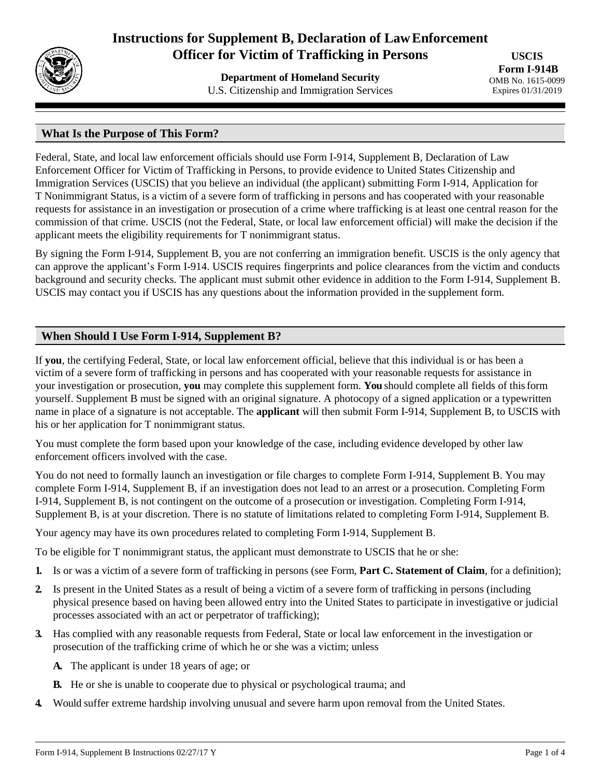

# **Instructions for Supplement B, Declaration of LawEnforcement Officer for Victim of Trafficking in Persons**

**Department of Homeland Security** U.S. Citizenship and Immigration Services

**USCIS Form I-914B** OMB No. 1615-0099 Expires 01/31/2019

# **What Is the Purpose of This Form?**

Federal, State, and local law enforcement officials should use Form I-914, Supplement B, Declaration of Law Enforcement Officer for Victim of Trafficking in Persons, to provide evidence to United States Citizenship and Immigration Services (USCIS) that you believe an individual (the applicant) submitting Form I-914, Application for T Nonimmigrant Status, is a victim of a severe form of trafficking in persons and has cooperated with your reasonable requests for assistance in an investigation or prosecution of a crime where trafficking is at least one central reason for the commission of that crime. USCIS (not the Federal, State, or local law enforcement official) will make the decision if the applicant meets the eligibility requirements for T nonimmigrant status.

By signing the Form I-914, Supplement B, you are not conferring an immigration benefit. USCIS is the only agency that can approve the applicant's Form I-914. USCIS requires fingerprints and police clearances from the victim and conducts background and security checks. The applicant must submit other evidence in addition to the Form I-914, Supplement B. USCIS may contact you if USCIS has any questions about the information provided in the supplement form.

# **When Should I Use Form I-914, Supplement B?**

If **you**, the certifying Federal, State, or local law enforcement official, believe that this individual is or has been a victim of a severe form of trafficking in persons and has cooperated with your reasonable requests for assistance in your investigation or prosecution, **you** may complete this supplement form. **You** should complete all fields of thisform yourself. Supplement B must be signed with an original signature. A photocopy of a signed application or a typewritten name in place of a signature is not acceptable. The **applicant** will then submit Form I-914, Supplement B, to USCIS with his or her application for T nonimmigrant status.

You must complete the form based upon your knowledge of the case, including evidence developed by other law enforcement officers involved with the case.

You do not need to formally launch an investigation or file charges to complete Form I-914, Supplement B. You may complete Form I-914, Supplement B, if an investigation does not lead to an arrest or a prosecution. Completing Form I-914, Supplement B, is not contingent on the outcome of a prosecution or investigation. Completing Form I-914, Supplement B, is at your discretion. There is no statute of limitations related to completing Form I-914, Supplement B.

Your agency may have its own procedures related to completing Form I-914, Supplement B.

To be eligible for T nonimmigrant status, the applicant must demonstrate to USCIS that he or she:

- **1.** Is or was a victim of a severe form of trafficking in persons (see Form, **Part C. Statement of Claim**, for a definition);
- **2.** Is present in the United States as a result of being a victim of a severe form of trafficking in persons (including physical presence based on having been allowed entry into the United States to participate in investigative or judicial processes associated with an act or perpetrator of trafficking);
- **3.** Has complied with any reasonable requests from Federal, State or local law enforcement in the investigation or prosecution of the trafficking crime of which he or she was a victim; unless
	- **A.** The applicant is under 18 years of age; or
	- **B.** He or she is unable to cooperate due to physical or psychological trauma; and
- **4.** Would suffer extreme hardship involving unusual and severe harm upon removal from the United States.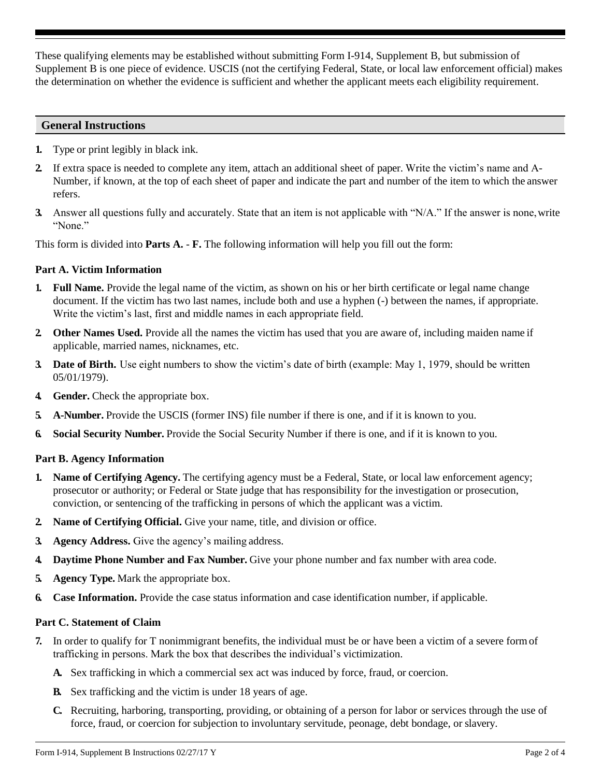These qualifying elements may be established without submitting Form I-914, Supplement B, but submission of Supplement B is one piece of evidence. USCIS (not the certifying Federal, State, or local law enforcement official) makes the determination on whether the evidence is sufficient and whether the applicant meets each eligibility requirement.

## **General Instructions**

- **1.** Type or print legibly in black ink.
- **2.** If extra space is needed to complete any item, attach an additional sheet of paper. Write the victim's name and A-Number, if known, at the top of each sheet of paper and indicate the part and number of the item to which the answer refers.
- **3.** Answer all questions fully and accurately. State that an item is not applicable with "N/A." If the answer is none, write "None."

This form is divided into **Parts A.** - **F.** The following information will help you fill out the form:

# **Part A. Victim Information**

- **1. Full Name.** Provide the legal name of the victim, as shown on his or her birth certificate or legal name change document. If the victim has two last names, include both and use a hyphen (-) between the names, if appropriate. Write the victim's last, first and middle names in each appropriate field.
- **2. Other Names Used.** Provide all the names the victim has used that you are aware of, including maiden name if applicable, married names, nicknames, etc.
- **3. Date of Birth.** Use eight numbers to show the victim's date of birth (example: May 1, 1979, should be written 05/01/1979).
- **4. Gender.** Check the appropriate box.
- **5. A-Number.** Provide the USCIS (former INS) file number if there is one, and if it is known to you.
- **6. Social Security Number.** Provide the Social Security Number if there is one, and if it is known to you.

# **Part B. Agency Information**

- **1. Name of Certifying Agency.** The certifying agency must be a Federal, State, or local law enforcement agency; prosecutor or authority; or Federal or State judge that has responsibility for the investigation or prosecution, conviction, or sentencing of the trafficking in persons of which the applicant was a victim.
- **2. Name of Certifying Official.** Give your name, title, and division or office.
- **3. Agency Address.** Give the agency's mailing address.
- **4. Daytime Phone Number and Fax Number.** Give your phone number and fax number with area code.
- **5. Agency Type.** Mark the appropriate box.
- **6. Case Information.** Provide the case status information and case identification number, if applicable.

## **Part C. Statement of Claim**

- **7.** In order to qualify for T nonimmigrant benefits, the individual must be or have been a victim of a severe formof trafficking in persons. Mark the box that describes the individual's victimization.
	- **A.** Sex trafficking in which a commercial sex act was induced by force, fraud, or coercion.
	- **B.** Sex trafficking and the victim is under 18 years of age.
	- **C.** Recruiting, harboring, transporting, providing, or obtaining of a person for labor or services through the use of force, fraud, or coercion for subjection to involuntary servitude, peonage, debt bondage, or slavery.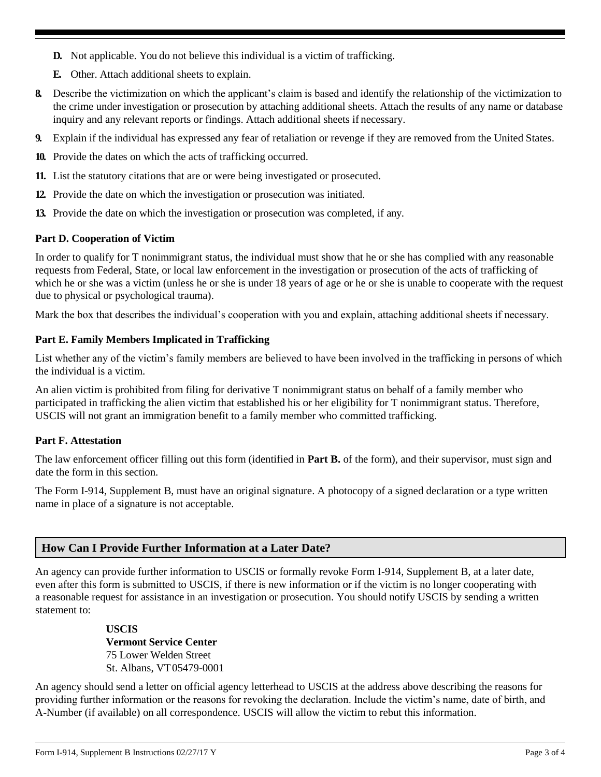- **D.** Not applicable. You do not believe this individual is a victim of trafficking.
- **E.** Other. Attach additional sheets to explain.
- **8.** Describe the victimization on which the applicant's claim is based and identify the relationship of the victimization to the crime under investigation or prosecution by attaching additional sheets. Attach the results of any name or database inquiry and any relevant reports or findings. Attach additional sheets if necessary.
- **9.** Explain if the individual has expressed any fear of retaliation or revenge if they are removed from the United States.
- **10.** Provide the dates on which the acts of trafficking occurred.
- **11.** List the statutory citations that are or were being investigated or prosecuted.
- **12.** Provide the date on which the investigation or prosecution was initiated.
- **13.** Provide the date on which the investigation or prosecution was completed, if any.

#### **Part D. Cooperation of Victim**

In order to qualify for T nonimmigrant status, the individual must show that he or she has complied with any reasonable requests from Federal, State, or local law enforcement in the investigation or prosecution of the acts of trafficking of which he or she was a victim (unless he or she is under 18 years of age or he or she is unable to cooperate with the request due to physical or psychological trauma).

Mark the box that describes the individual's cooperation with you and explain, attaching additional sheets if necessary.

#### **Part E. Family Members Implicated in Trafficking**

List whether any of the victim's family members are believed to have been involved in the trafficking in persons of which the individual is a victim.

An alien victim is prohibited from filing for derivative T nonimmigrant status on behalf of a family member who participated in trafficking the alien victim that established his or her eligibility for T nonimmigrant status. Therefore, USCIS will not grant an immigration benefit to a family member who committed trafficking.

#### **Part F. Attestation**

The law enforcement officer filling out this form (identified in **Part B.** of the form), and their supervisor, must sign and date the form in this section.

The Form I-914, Supplement B, must have an original signature. A photocopy of a signed declaration or a type written name in place of a signature is not acceptable.

## **How Can I Provide Further Information at a Later Date?**

An agency can provide further information to USCIS or formally revoke Form I-914, Supplement B, at a later date, even after this form is submitted to USCIS, if there is new information or if the victim is no longer cooperating with a reasonable request for assistance in an investigation or prosecution. You should notify USCIS by sending a written statement to:

> **USCIS Vermont Service Center**  75 Lower Welden Street St. Albans, VT05479-0001

An agency should send a letter on official agency letterhead to USCIS at the address above describing the reasons for providing further information or the reasons for revoking the declaration. Include the victim's name, date of birth, and A-Number (if available) on all correspondence. USCIS will allow the victim to rebut this information.